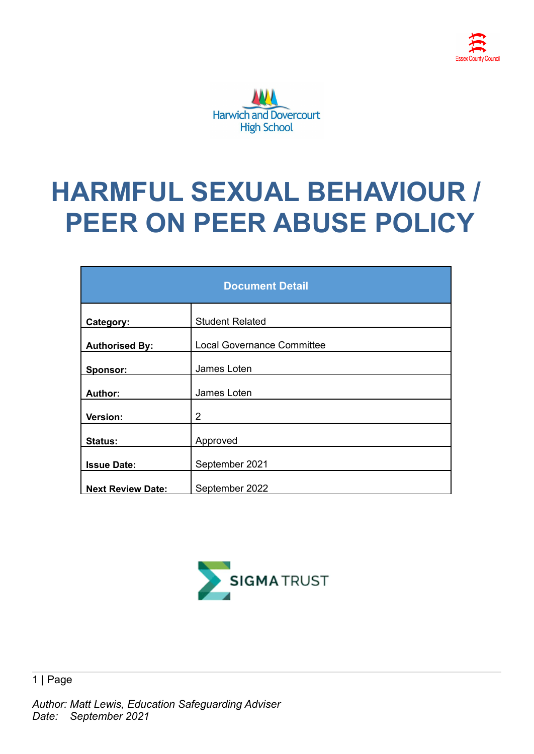

# **HARMFUL SEXUAL BEHAVIOUR / PEER ON PEER ABUSE POLICY**

| <b>Document Detail</b>   |                                   |  |
|--------------------------|-----------------------------------|--|
| Category:                | <b>Student Related</b>            |  |
| <b>Authorised By:</b>    | <b>Local Governance Committee</b> |  |
| Sponsor:                 | James Loten                       |  |
| Author:                  | James Loten                       |  |
| Version:                 | $\overline{2}$                    |  |
| <b>Status:</b>           | Approved                          |  |
| <b>Issue Date:</b>       | September 2021                    |  |
| <b>Next Review Date:</b> | September 2022                    |  |

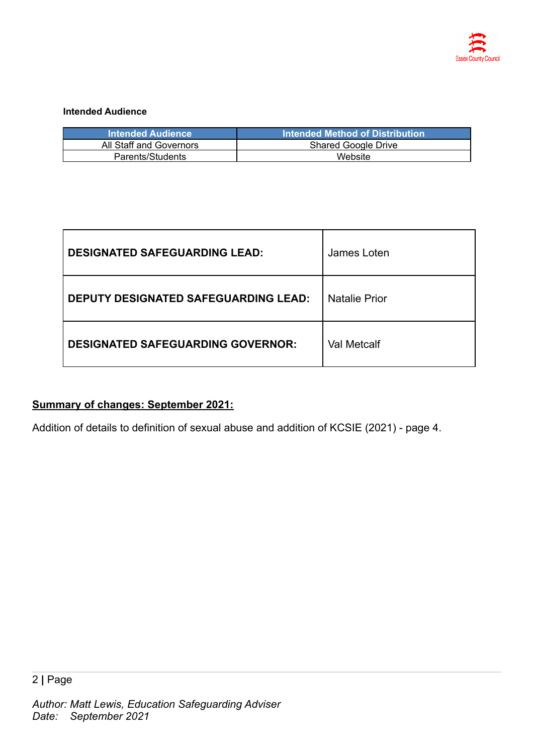

#### **Intended Audience**

| <b>Intended Audience</b> | <b>Intended Method of Distribution</b> ا |
|--------------------------|------------------------------------------|
| All Staff and Governors  | <b>Shared Google Drive</b>               |
| Parents/Students         | Website                                  |

| <b>DESIGNATED SAFEGUARDING LEAD:</b>        | James Loten          |
|---------------------------------------------|----------------------|
| <b>DEPUTY DESIGNATED SAFEGUARDING LEAD:</b> | <b>Natalie Prior</b> |
| <b>DESIGNATED SAFEGUARDING GOVERNOR:</b>    | <b>Val Metcalf</b>   |

## **Summary of changes: September 2021:**

Addition of details to definition of sexual abuse and addition of KCSIE (2021) - page 4.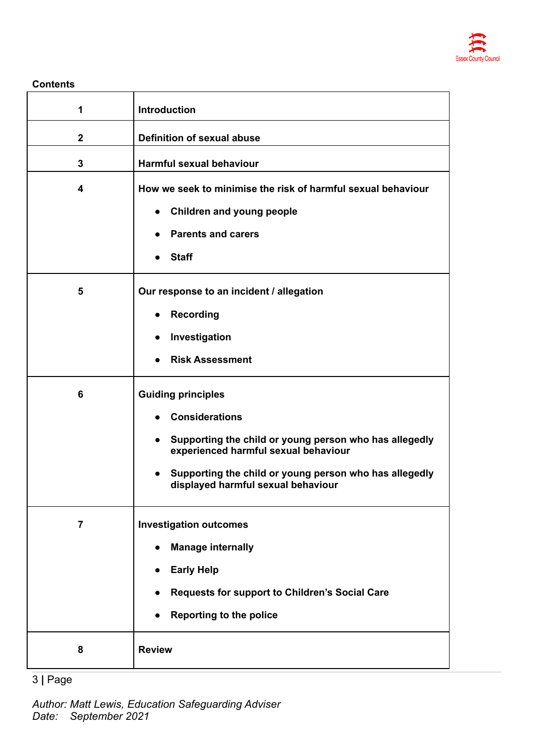

**Contents**

| 1                       | <b>Introduction</b>                                                                                                                                                                                                                                               |
|-------------------------|-------------------------------------------------------------------------------------------------------------------------------------------------------------------------------------------------------------------------------------------------------------------|
| $\boldsymbol{2}$        | <b>Definition of sexual abuse</b>                                                                                                                                                                                                                                 |
| 3                       | <b>Harmful sexual behaviour</b>                                                                                                                                                                                                                                   |
| $\overline{\mathbf{4}}$ | How we seek to minimise the risk of harmful sexual behaviour<br><b>Children and young people</b><br><b>Parents and carers</b><br><b>Staff</b>                                                                                                                     |
| 5                       | Our response to an incident / allegation<br><b>Recording</b><br>Investigation<br><b>Risk Assessment</b>                                                                                                                                                           |
| 6                       | <b>Guiding principles</b><br><b>Considerations</b><br>Supporting the child or young person who has allegedly<br>$\bullet$<br>experienced harmful sexual behaviour<br>Supporting the child or young person who has allegedly<br>displayed harmful sexual behaviour |
| $\overline{7}$          | <b>Investigation outcomes</b><br><b>Manage internally</b><br><b>Early Help</b><br>Requests for support to Children's Social Care<br><b>Reporting to the police</b>                                                                                                |
| 8                       | <b>Review</b>                                                                                                                                                                                                                                                     |

3 **|** Page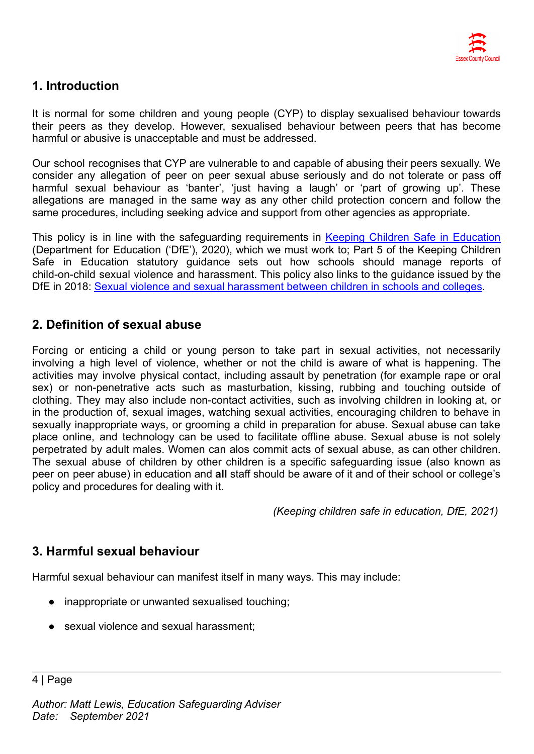

# **1. Introduction**

It is normal for some children and young people (CYP) to display sexualised behaviour towards their peers as they develop. However, sexualised behaviour between peers that has become harmful or abusive is unacceptable and must be addressed.

Our school recognises that CYP are vulnerable to and capable of abusing their peers sexually. We consider any allegation of peer on peer sexual abuse seriously and do not tolerate or pass off harmful sexual behaviour as 'banter', 'just having a laugh' or 'part of growing up'. These allegations are managed in the same way as any other child protection concern and follow the same procedures, including seeking advice and support from other agencies as appropriate.

This policy is in line with the safeguarding requirements in Keeping Children Safe in [Education](https://eur02.safelinks.protection.outlook.com/?url=https%3A%2F%2Fassets.publishing.service.gov.uk%2Fgovernment%2Fuploads%2Fsystem%2Fuploads%2Fattachment_data%2Ffile%2F954314%2FKeeping_children_safe_in_education_2020_-_Update_-_January_2021.pdf&data=04%7C01%7C%7Cf2e9fff87b2149eb72d208d8fe84ac80%7Ca8b4324f155c4215a0f17ed8cc9a992f%7C0%7C0%7C637539193225028841%7CUnknown%7CTWFpbGZsb3d8eyJWIjoiMC4wLjAwMDAiLCJQIjoiV2luMzIiLCJBTiI6Ik1haWwiLCJXVCI6Mn0%3D%7C1000&sdata=VnfJGiVrh%2BweNNu%2BiwjdcWv8RJzWF6EvSn1d8NGC7oE%3D&reserved=0) (Department for Education ('DfE'), 2020), which we must work to; Part 5 of the Keeping Children Safe in Education statutory guidance sets out how schools should manage reports of child-on-child sexual violence and harassment. This policy also links to the guidance issued by the DfE in 2018: Sexual violence and sexual harassment [between children in schools and colleges](https://eur02.safelinks.protection.outlook.com/?url=https%3A%2F%2Fwww.gov.uk%2Fgovernment%2Fpublications%2Fsexual-violence-and-sexual-harassment-between-children-in-schools-and-colleges&data=04%7C01%7C%7Cf2e9fff87b2149eb72d208d8fe84ac80%7Ca8b4324f155c4215a0f17ed8cc9a992f%7C0%7C0%7C637539193225038798%7CUnknown%7CTWFpbGZsb3d8eyJWIjoiMC4wLjAwMDAiLCJQIjoiV2luMzIiLCJBTiI6Ik1haWwiLCJXVCI6Mn0%3D%7C1000&sdata=ZYrHV9%2FJUndIMjNVX505sSFT9UICMSs637uOd9Oag4Q%3D&reserved=0).

# **2. Definition of sexual abuse**

Forcing or enticing a child or young person to take part in sexual activities, not necessarily involving a high level of violence, whether or not the child is aware of what is happening. The activities may involve physical contact, including assault by penetration (for example rape or oral sex) or non-penetrative acts such as masturbation, kissing, rubbing and touching outside of clothing. They may also include non-contact activities, such as involving children in looking at, or in the production of, sexual images, watching sexual activities, encouraging children to behave in sexually inappropriate ways, or grooming a child in preparation for abuse. Sexual abuse can take place online, and technology can be used to facilitate offline abuse. Sexual abuse is not solely perpetrated by adult males. Women can alos commit acts of sexual abuse, as can other children. The sexual abuse of children by other children is a specific safeguarding issue (also known as peer on peer abuse) in education and **all** staff should be aware of it and of their school or college's policy and procedures for dealing with it.

*(Keeping children safe in education, DfE, 2021)*

# **3. Harmful sexual behaviour**

Harmful sexual behaviour can manifest itself in many ways. This may include:

- inappropriate or unwanted sexualised touching;
- sexual violence and sexual harassment;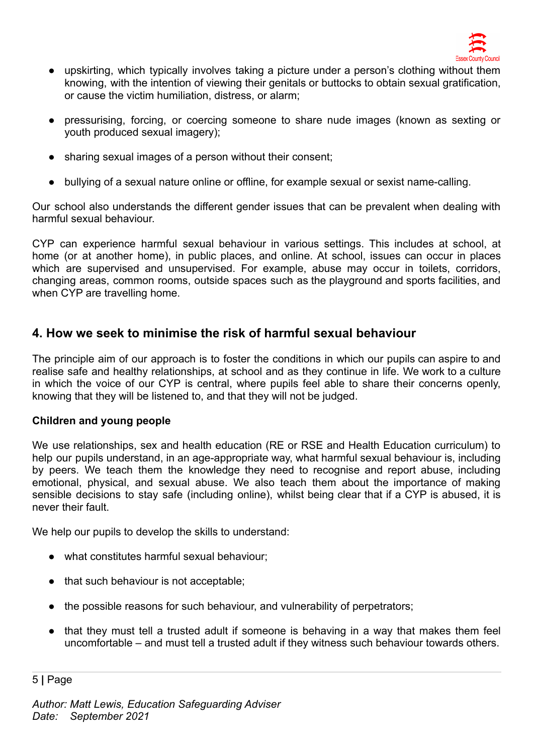

- upskirting, which typically involves taking a picture under a person's clothing without them knowing, with the intention of viewing their genitals or buttocks to obtain sexual gratification, or cause the victim humiliation, distress, or alarm;
- pressurising, forcing, or coercing someone to share nude images (known as sexting or youth produced sexual imagery);
- sharing sexual images of a person without their consent;
- bullying of a sexual nature online or offline, for example sexual or sexist name-calling.

Our school also understands the different gender issues that can be prevalent when dealing with harmful sexual behaviour.

CYP can experience harmful sexual behaviour in various settings. This includes at school, at home (or at another home), in public places, and online. At school, issues can occur in places which are supervised and unsupervised. For example, abuse may occur in toilets, corridors, changing areas, common rooms, outside spaces such as the playground and sports facilities, and when CYP are travelling home.

# **4. How we seek to minimise the risk of harmful sexual behaviour**

The principle aim of our approach is to foster the conditions in which our pupils can aspire to and realise safe and healthy relationships, at school and as they continue in life. We work to a culture in which the voice of our CYP is central, where pupils feel able to share their concerns openly, knowing that they will be listened to, and that they will not be judged.

### **Children and young people**

We use relationships, sex and health education (RE or RSE and Health Education curriculum) to help our pupils understand, in an age-appropriate way, what harmful sexual behaviour is, including by peers. We teach them the knowledge they need to recognise and report abuse, including emotional, physical, and sexual abuse. We also teach them about the importance of making sensible decisions to stay safe (including online), whilst being clear that if a CYP is abused, it is never their fault.

We help our pupils to develop the skills to understand:

- what constitutes harmful sexual behaviour;
- that such behaviour is not acceptable;
- the possible reasons for such behaviour, and vulnerability of perpetrators;
- that they must tell a trusted adult if someone is behaving in a way that makes them feel uncomfortable – and must tell a trusted adult if they witness such behaviour towards others.

5 **|** Page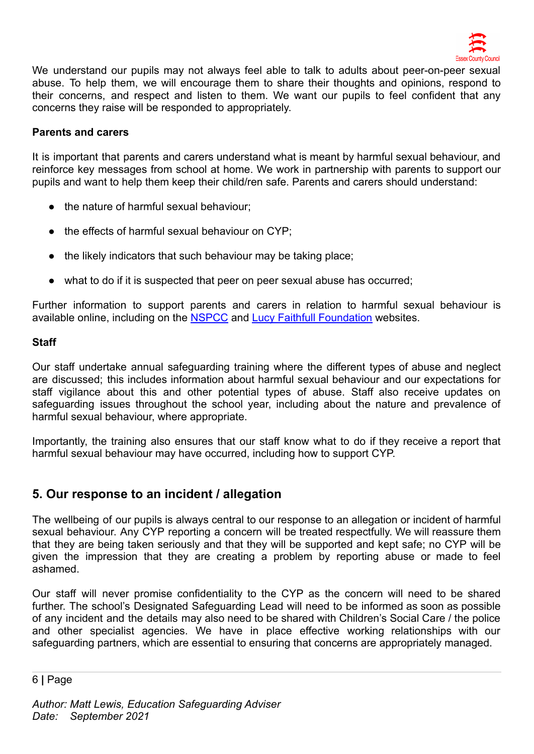

We understand our pupils may not always feel able to talk to adults about peer-on-peer sexual abuse. To help them, we will encourage them to share their thoughts and opinions, respond to their concerns, and respect and listen to them. We want our pupils to feel confident that any concerns they raise will be responded to appropriately.

#### **Parents and carers**

It is important that parents and carers understand what is meant by harmful sexual behaviour, and reinforce key messages from school at home. We work in partnership with parents to support our pupils and want to help them keep their child/ren safe. Parents and carers should understand:

- the nature of harmful sexual behaviour;
- the effects of harmful sexual behaviour on CYP:
- the likely indicators that such behaviour may be taking place;
- what to do if it is suspected that peer on peer sexual abuse has occurred;

Further information to support parents and carers in relation to harmful sexual behaviour is available online, including on the **[NSPCC](https://www.nspcc.org.uk/what-is-child-abuse/types-of-abuse/child-sexual-abuse/#support)** and Lucy [Faithfull Foundation](https://www.lucyfaithfull.org.uk/parents-protect.htm) websites.

#### **Staff**

Our staff undertake annual safeguarding training where the different types of abuse and neglect are discussed; this includes information about harmful sexual behaviour and our expectations for staff vigilance about this and other potential types of abuse. Staff also receive updates on safeguarding issues throughout the school year, including about the nature and prevalence of harmful sexual behaviour, where appropriate.

Importantly, the training also ensures that our staff know what to do if they receive a report that harmful sexual behaviour may have occurred, including how to support CYP.

# **5. Our response to an incident / allegation**

The wellbeing of our pupils is always central to our response to an allegation or incident of harmful sexual behaviour. Any CYP reporting a concern will be treated respectfully. We will reassure them that they are being taken seriously and that they will be supported and kept safe; no CYP will be given the impression that they are creating a problem by reporting abuse or made to feel ashamed.

Our staff will never promise confidentiality to the CYP as the concern will need to be shared further. The school's Designated Safeguarding Lead will need to be informed as soon as possible of any incident and the details may also need to be shared with Children's Social Care / the police and other specialist agencies. We have in place effective working relationships with our safeguarding partners, which are essential to ensuring that concerns are appropriately managed.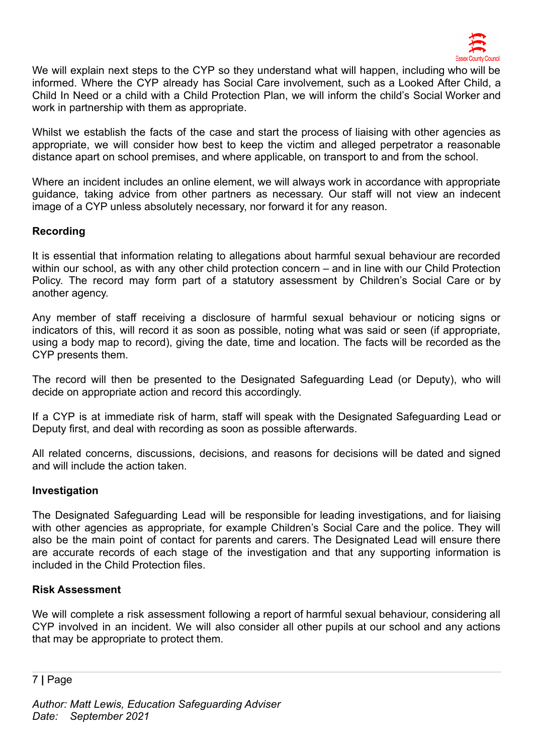

We will explain next steps to the CYP so they understand what will happen, including who will be informed. Where the CYP already has Social Care involvement, such as a Looked After Child, a Child In Need or a child with a Child Protection Plan, we will inform the child's Social Worker and work in partnership with them as appropriate.

Whilst we establish the facts of the case and start the process of liaising with other agencies as appropriate, we will consider how best to keep the victim and alleged perpetrator a reasonable distance apart on school premises, and where applicable, on transport to and from the school.

Where an incident includes an online element, we will always work in accordance with appropriate guidance, taking advice from other partners as necessary. Our staff will not view an indecent image of a CYP unless absolutely necessary, nor forward it for any reason.

#### **Recording**

It is essential that information relating to allegations about harmful sexual behaviour are recorded within our school, as with any other child protection concern – and in line with our Child Protection Policy. The record may form part of a statutory assessment by Children's Social Care or by another agency.

Any member of staff receiving a disclosure of harmful sexual behaviour or noticing signs or indicators of this, will record it as soon as possible, noting what was said or seen (if appropriate, using a body map to record), giving the date, time and location. The facts will be recorded as the CYP presents them.

The record will then be presented to the Designated Safeguarding Lead (or Deputy), who will decide on appropriate action and record this accordingly.

If a CYP is at immediate risk of harm, staff will speak with the Designated Safeguarding Lead or Deputy first, and deal with recording as soon as possible afterwards.

All related concerns, discussions, decisions, and reasons for decisions will be dated and signed and will include the action taken.

#### **Investigation**

The Designated Safeguarding Lead will be responsible for leading investigations, and for liaising with other agencies as appropriate, for example Children's Social Care and the police. They will also be the main point of contact for parents and carers. The Designated Lead will ensure there are accurate records of each stage of the investigation and that any supporting information is included in the Child Protection files.

#### **Risk Assessment**

We will complete a risk assessment following a report of harmful sexual behaviour, considering all CYP involved in an incident. We will also consider all other pupils at our school and any actions that may be appropriate to protect them.

7 **|** Page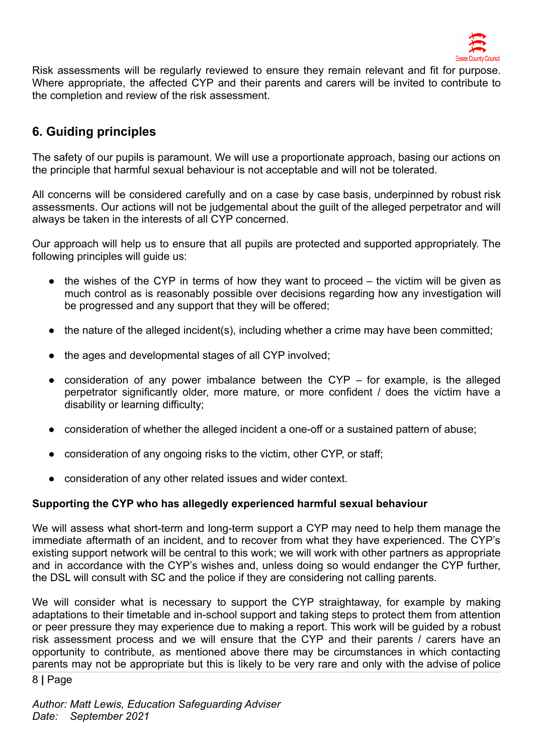

Risk assessments will be regularly reviewed to ensure they remain relevant and fit for purpose. Where appropriate, the affected CYP and their parents and carers will be invited to contribute to the completion and review of the risk assessment.

# **6. Guiding principles**

The safety of our pupils is paramount. We will use a proportionate approach, basing our actions on the principle that harmful sexual behaviour is not acceptable and will not be tolerated.

All concerns will be considered carefully and on a case by case basis, underpinned by robust risk assessments. Our actions will not be judgemental about the guilt of the alleged perpetrator and will always be taken in the interests of all CYP concerned.

Our approach will help us to ensure that all pupils are protected and supported appropriately. The following principles will guide us:

- the wishes of the CYP in terms of how they want to proceed the victim will be given as much control as is reasonably possible over decisions regarding how any investigation will be progressed and any support that they will be offered;
- the nature of the alleged incident(s), including whether a crime may have been committed;
- the ages and developmental stages of all CYP involved;
- consideration of any power imbalance between the CYP for example, is the alleged perpetrator significantly older, more mature, or more confident / does the victim have a disability or learning difficulty;
- consideration of whether the alleged incident a one-off or a sustained pattern of abuse;
- consideration of any ongoing risks to the victim, other CYP, or staff;
- consideration of any other related issues and wider context.

#### **Supporting the CYP who has allegedly experienced harmful sexual behaviour**

We will assess what short-term and long-term support a CYP may need to help them manage the immediate aftermath of an incident, and to recover from what they have experienced. The CYP's existing support network will be central to this work; we will work with other partners as appropriate and in accordance with the CYP's wishes and, unless doing so would endanger the CYP further, the DSL will consult with SC and the police if they are considering not calling parents.

We will consider what is necessary to support the CYP straightaway, for example by making adaptations to their timetable and in-school support and taking steps to protect them from attention or peer pressure they may experience due to making a report. This work will be guided by a robust risk assessment process and we will ensure that the CYP and their parents / carers have an opportunity to contribute, as mentioned above there may be circumstances in which contacting parents may not be appropriate but this is likely to be very rare and only with the advise of police

8 **|** Page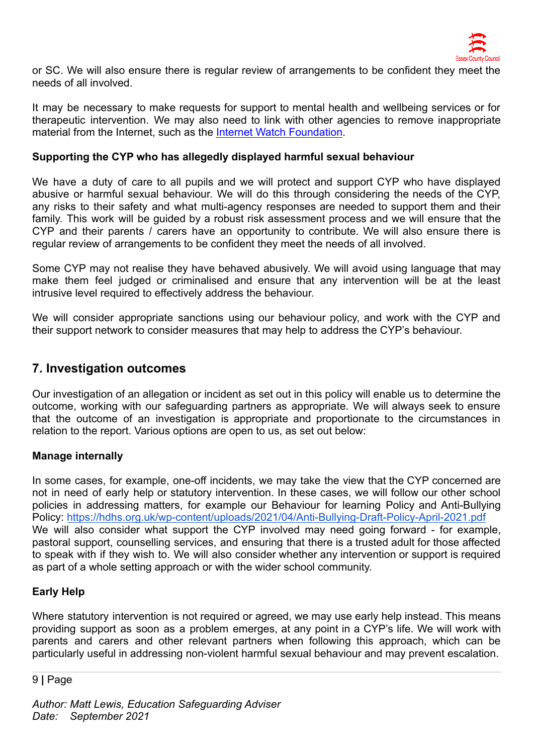

or SC. We will also ensure there is regular review of arrangements to be confident they meet the needs of all involved.

It may be necessary to make requests for support to mental health and wellbeing services or for therapeutic intervention. We may also need to link with other agencies to remove inappropriate material from the Internet, such as the [Internet Watch](https://www.iwf.org.uk/) Foundation.

#### **Supporting the CYP who has allegedly displayed harmful sexual behaviour**

We have a duty of care to all pupils and we will protect and support CYP who have displayed abusive or harmful sexual behaviour. We will do this through considering the needs of the CYP, any risks to their safety and what multi-agency responses are needed to support them and their family. This work will be guided by a robust risk assessment process and we will ensure that the CYP and their parents / carers have an opportunity to contribute. We will also ensure there is regular review of arrangements to be confident they meet the needs of all involved.

Some CYP may not realise they have behaved abusively. We will avoid using language that may make them feel judged or criminalised and ensure that any intervention will be at the least intrusive level required to effectively address the behaviour.

We will consider appropriate sanctions using our behaviour policy, and work with the CYP and their support network to consider measures that may help to address the CYP's behaviour.

#### **7. Investigation outcomes**

Our investigation of an allegation or incident as set out in this policy will enable us to determine the outcome, working with our safeguarding partners as appropriate. We will always seek to ensure that the outcome of an investigation is appropriate and proportionate to the circumstances in relation to the report. Various options are open to us, as set out below:

#### **Manage internally**

In some cases, for example, one-off incidents, we may take the view that the CYP concerned are not in need of early help or statutory intervention. In these cases, we will follow our other school policies in addressing matters, for example our Behaviour for learning Policy and Anti-Bullying Policy: <https://hdhs.org.uk/wp-content/uploads/2021/04/Anti-Bullying-Draft-Policy-April-2021.pdf> We will also consider what support the CYP involved may need going forward - for example, pastoral support, counselling services, and ensuring that there is a trusted adult for those affected to speak with if they wish to. We will also consider whether any intervention or support is required as part of a whole setting approach or with the wider school community.

#### **Early Help**

Where statutory intervention is not required or agreed, we may use early help instead. This means providing support as soon as a problem emerges, at any point in a CYP's life. We will work with parents and carers and other relevant partners when following this approach, which can be particularly useful in addressing non-violent harmful sexual behaviour and may prevent escalation.

#### 9 **|** Page